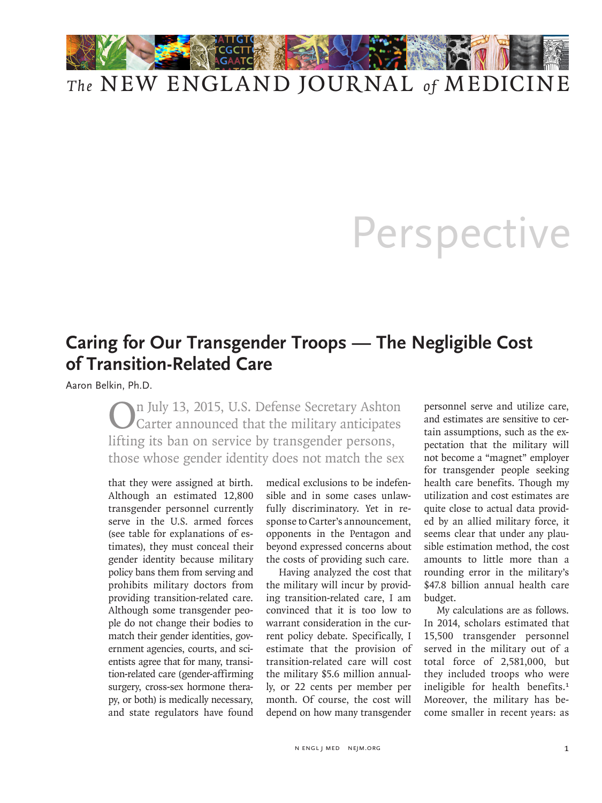

## *The* NEW ENGLAND JOURNAL *of* MEDICINE

## Perspective

## **Caring for Our Transgender Troops — The Negligible Cost of Transition-Related Care**

Aaron Belkin, Ph.D.

On July 13, 2015, U.S. Defense Secretary Ashton Carter announced that the military anticipates lifting its ban on service by transgender persons, those whose gender identity does not match the sex

that they were assigned at birth. Although an estimated 12,800 transgender personnel currently serve in the U.S. armed forces (see table for explanations of estimates), they must conceal their gender identity because military policy bans them from serving and prohibits military doctors from providing transition-related care. Although some transgender people do not change their bodies to match their gender identities, government agencies, courts, and scientists agree that for many, transition-related care (gender-affirming surgery, cross-sex hormone therapy, or both) is medically necessary, and state regulators have found

medical exclusions to be indefensible and in some cases unlawfully discriminatory. Yet in response to Carter's announcement, opponents in the Pentagon and beyond expressed concerns about the costs of providing such care.

Having analyzed the cost that the military will incur by providing transition-related care, I am convinced that it is too low to warrant consideration in the current policy debate. Specifically, I estimate that the provision of transition-related care will cost the military \$5.6 million annually, or 22 cents per member per month. Of course, the cost will depend on how many transgender personnel serve and utilize care, and estimates are sensitive to certain assumptions, such as the expectation that the military will not become a "magnet" employer for transgender people seeking health care benefits. Though my utilization and cost estimates are quite close to actual data provided by an allied military force, it seems clear that under any plausible estimation method, the cost amounts to little more than a rounding error in the military's \$47.8 billion annual health care budget.

My calculations are as follows. In 2014, scholars estimated that 15,500 transgender personnel served in the military out of a total force of 2,581,000, but they included troops who were ineligible for health benefits.<sup>1</sup> Moreover, the military has become smaller in recent years: as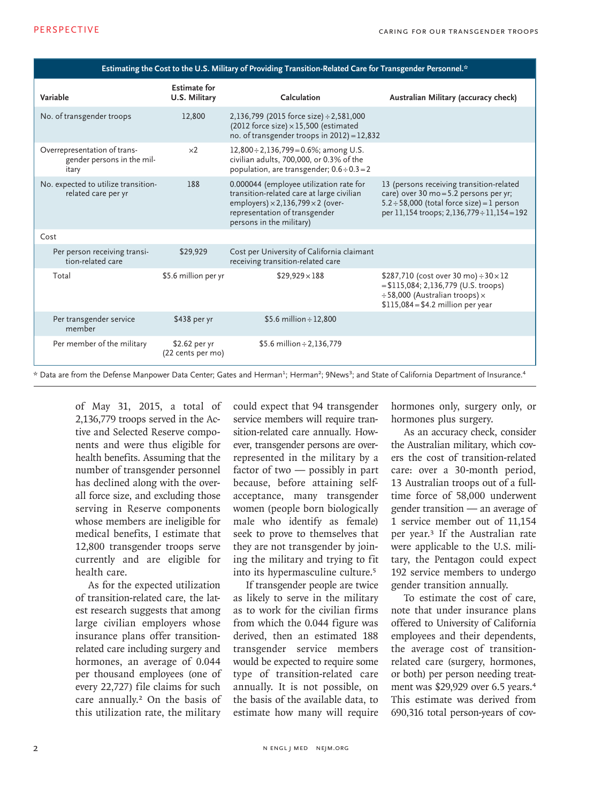| Estimating the Cost to the U.S. Military of Providing Transition-Related Care for Transgender Personnel.* |                                      |                                                                                                                                                                                                        |                                                                                                                                                                                      |
|-----------------------------------------------------------------------------------------------------------|--------------------------------------|--------------------------------------------------------------------------------------------------------------------------------------------------------------------------------------------------------|--------------------------------------------------------------------------------------------------------------------------------------------------------------------------------------|
| Variable                                                                                                  | <b>Estimate for</b><br>U.S. Military | Calculation                                                                                                                                                                                            | Australian Military (accuracy check)                                                                                                                                                 |
| No. of transgender troops                                                                                 | 12,800                               | 2,136,799 (2015 force size) ÷ 2,581,000<br>(2012 force size) $\times$ 15,500 (estimated<br>no. of transgender troops in $2012$ ) = 12,832                                                              |                                                                                                                                                                                      |
| Overrepresentation of trans-<br>gender persons in the mil-<br>itary                                       | $\times 2$                           | $12,800 \div 2,136,799 = 0.6\%$ ; among U.S.<br>civilian adults, 700,000, or 0.3% of the<br>population, are transgender; $0.6 \div 0.3 = 2$                                                            |                                                                                                                                                                                      |
| No. expected to utilize transition-<br>related care per yr                                                | 188                                  | 0.000044 (employee utilization rate for<br>transition-related care at large civilian<br>employers) $\times$ 2, 136, 799 $\times$ 2 (over-<br>representation of transgender<br>persons in the military) | 13 (persons receiving transition-related<br>care) over 30 mo = 5.2 persons per yr;<br>$5.2 \div 58,000$ (total force size) = 1 person<br>per 11,154 troops; 2,136,779 ÷ 11,154 = 192 |
| Cost                                                                                                      |                                      |                                                                                                                                                                                                        |                                                                                                                                                                                      |
| Per person receiving transi-<br>tion-related care                                                         | \$29,929                             | Cost per University of California claimant<br>receiving transition-related care                                                                                                                        |                                                                                                                                                                                      |
| Total                                                                                                     | \$5.6 million per yr                 | $$29,929 \times 188$                                                                                                                                                                                   | \$287,710 (cost over 30 mo) $\div$ 30 $\times$ 12<br>$= $115,084; 2,136,779$ (U.S. troops)<br>÷ 58,000 (Australian troops) ×<br>$$115,084 = $4.2$ million per year                   |
| Per transgender service<br>member                                                                         | \$438 per yr                         | \$5.6 million $\div$ 12,800                                                                                                                                                                            |                                                                                                                                                                                      |
| Per member of the military                                                                                | \$2.62 per yr<br>(22 cents per mo)   | \$5.6 million $\div$ 2,136,779                                                                                                                                                                         |                                                                                                                                                                                      |

\* Data are from the Defense Manpower Data Center; Gates and Herman<sup>2</sup>; Herman<sup>2</sup>; 9News<sup>3</sup>; and State of California Department of Insurance.<sup>4</sup>

of May 31, 2015, a total of 2,136,779 troops served in the Active and Selected Reserve components and were thus eligible for health benefits. Assuming that the number of transgender personnel has declined along with the overall force size, and excluding those serving in Reserve components whose members are ineligible for medical benefits, I estimate that 12,800 transgender troops serve currently and are eligible for health care.

As for the expected utilization of transition-related care, the latest research suggests that among large civilian employers whose insurance plans offer transitionrelated care including surgery and hormones, an average of 0.044 per thousand employees (one of every 22,727) file claims for such care annually.<sup>2</sup> On the basis of this utilization rate, the military

could expect that 94 transgender service members will require transition-related care annually. However, transgender persons are overrepresented in the military by a factor of two — possibly in part because, before attaining selfacceptance, many transgender women (people born biologically male who identify as female) seek to prove to themselves that they are not transgender by joining the military and trying to fit into its hypermasculine culture.<sup>5</sup>

If transgender people are twice as likely to serve in the military as to work for the civilian firms from which the 0.044 figure was derived, then an estimated 188 transgender service members would be expected to require some type of transition-related care annually. It is not possible, on the basis of the available data, to estimate how many will require hormones only, surgery only, or hormones plus surgery.

As an accuracy check, consider the Australian military, which covers the cost of transition-related care: over a 30-month period, 13 Australian troops out of a fulltime force of 58,000 underwent gender transition — an average of 1 service member out of 11,154 per year.3 If the Australian rate were applicable to the U.S. military, the Pentagon could expect 192 service members to undergo gender transition annually.

To estimate the cost of care, note that under insurance plans offered to University of California employees and their dependents, the average cost of transitionrelated care (surgery, hormones, or both) per person needing treatment was \$29,929 over 6.5 years.<sup>4</sup> This estimate was derived from 690,316 total person-years of cov-